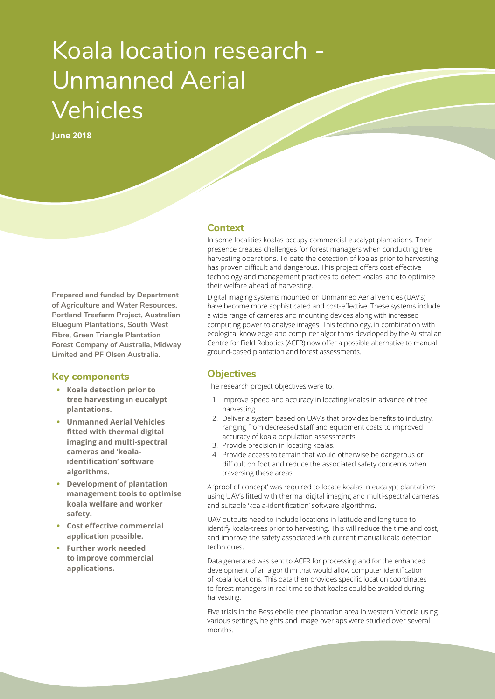# Koala location research - Unmanned Aerial Vehicles

**June 2018**

**Prepared and funded by Department of Agriculture and Water Resources, Portland Treefarm Project, Australian Bluegum Plantations, South West Fibre, Green Triangle Plantation Forest Company of Australia, Midway Limited and PF Olsen Australia.**

#### **Key components**

- **• Koala detection prior to tree harvesting in eucalypt plantations.**
- **• Unmanned Aerial Vehicles fitted with thermal digital imaging and multi-spectral cameras and 'koalaidentification' software algorithms.**
- **• Development of plantation management tools to optimise koala welfare and worker safety.**
- **• Cost effective commercial application possible.**
- **• Further work needed to improve commercial applications.**

### **Context**

In some localities koalas occupy commercial eucalypt plantations. Their presence creates challenges for forest managers when conducting tree harvesting operations. To date the detection of koalas prior to harvesting has proven difficult and dangerous. This project offers cost effective technology and management practices to detect koalas, and to optimise their welfare ahead of harvesting.

Digital imaging systems mounted on Unmanned Aerial Vehicles (UAV's) have become more sophisticated and cost-effective. These systems include a wide range of cameras and mounting devices along with increased computing power to analyse images. This technology, in combination with ecological knowledge and computer algorithms developed by the Australian Centre for Field Robotics (ACFR) now offer a possible alternative to manual ground-based plantation and forest assessments.

## **Objectives**

The research project objectives were to:

- 1. Improve speed and accuracy in locating koalas in advance of tree harvesting.
- 2. Deliver a system based on UAV's that provides benefits to industry, ranging from decreased staff and equipment costs to improved accuracy of koala population assessments.
- 3. Provide precision in locating koalas.
- 4. Provide access to terrain that would otherwise be dangerous or difficult on foot and reduce the associated safety concerns when traversing these areas.

A 'proof of concept' was required to locate koalas in eucalypt plantations using UAV's fitted with thermal digital imaging and multi-spectral cameras and suitable 'koala-identification' software algorithms.

UAV outputs need to include locations in latitude and longitude to identify koala-trees prior to harvesting. This will reduce the time and cost, and improve the safety associated with current manual koala detection techniques.

Data generated was sent to ACFR for processing and for the enhanced development of an algorithm that would allow computer identification of koala locations. This data then provides specific location coordinates to forest managers in real time so that koalas could be avoided during harvesting.

Five trials in the Bessiebelle tree plantation area in western Victoria using various settings, heights and image overlaps were studied over several months.